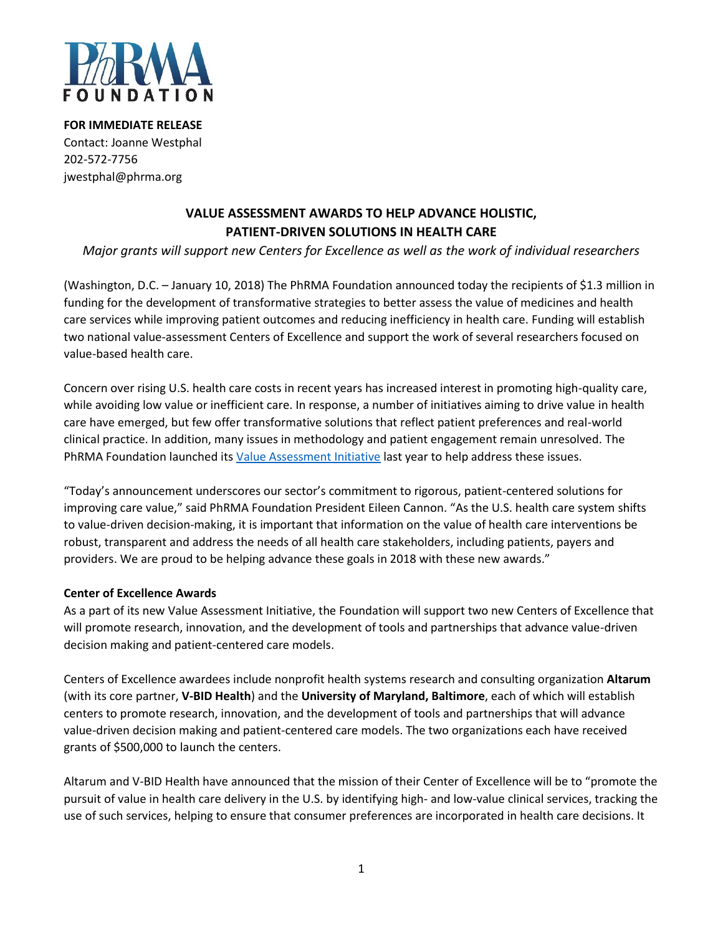

**FOR IMMEDIATE RELEASE** Contact: Joanne Westphal 202-572-7756 jwestphal@phrma.org

# **VALUE ASSESSMENT AWARDS TO HELP ADVANCE HOLISTIC, PATIENT-DRIVEN SOLUTIONS IN HEALTH CARE**

## *Major grants will support new Centers for Excellence as well as the work of individual researchers*

(Washington, D.C. – January 10, 2018) The PhRMA Foundation announced today the recipients of \$1.3 million in funding for the development of transformative strategies to better assess the value of medicines and health care services while improving patient outcomes and reducing inefficiency in health care. Funding will establish two national value-assessment Centers of Excellence and support the work of several researchers focused on value-based health care.

Concern over rising U.S. health care costs in recent years has increased interest in promoting high-quality care, while avoiding low value or inefficient care. In response, a number of initiatives aiming to drive value in health care have emerged, but few offer transformative solutions that reflect patient preferences and real-world clinical practice. In addition, many issues in methodology and patient engagement remain unresolved. The PhRMA Foundation launched its [Value Assessment Initiative](http://www.phrmafoundation.org/2018-awards/value-assessment-initiative/) last year to help address these issues.

"Today's announcement underscores our sector's commitment to rigorous, patient-centered solutions for improving care value," said PhRMA Foundation President Eileen Cannon. "As the U.S. health care system shifts to value-driven decision-making, it is important that information on the value of health care interventions be robust, transparent and address the needs of all health care stakeholders, including patients, payers and providers. We are proud to be helping advance these goals in 2018 with these new awards."

### **Center of Excellence Awards**

As a part of its new Value Assessment Initiative, the Foundation will support two new Centers of Excellence that will promote research, innovation, and the development of tools and partnerships that advance value-driven decision making and patient-centered care models.

Centers of Excellence awardees include nonprofit health systems research and consulting organization **Altarum** (with its core partner, **V-BID Health**) and the **University of Maryland, Baltimore**, each of which will establish centers to promote research, innovation, and the development of tools and partnerships that will advance value-driven decision making and patient-centered care models. The two organizations each have received grants of \$500,000 to launch the centers.

Altarum and V-BID Health have announced that the mission of their Center of Excellence will be to "promote the pursuit of value in health care delivery in the U.S. by identifying high- and low-value clinical services, tracking the use of such services, helping to ensure that consumer preferences are incorporated in health care decisions. It